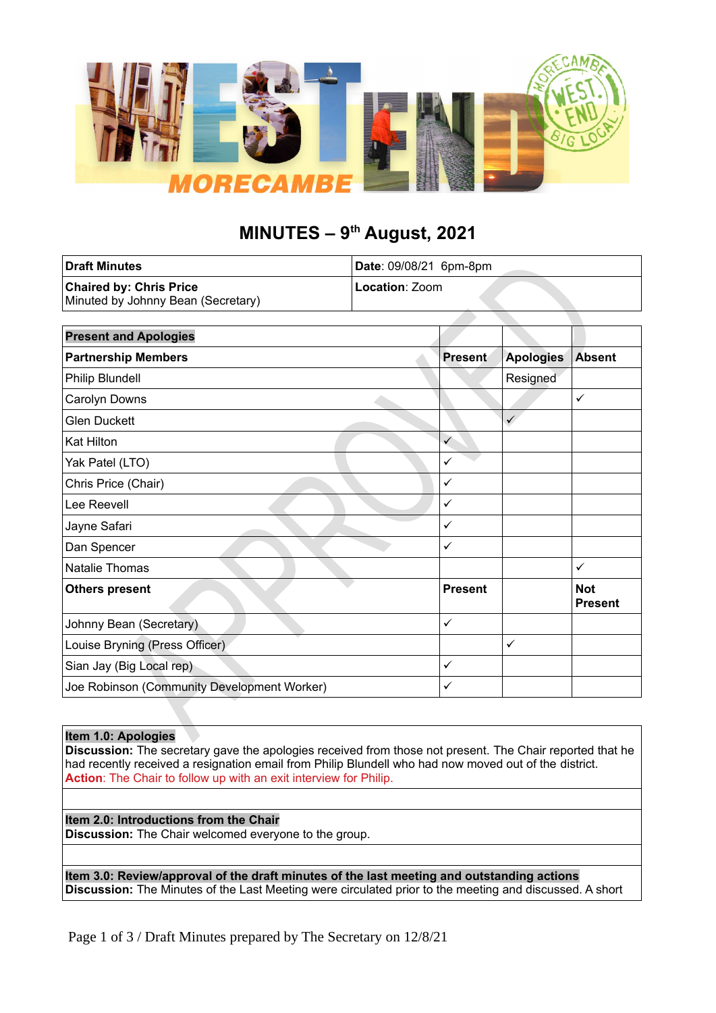

# **MINUTES – 9th August, 2021**

| <b>Draft Minutes</b>               | Date: 09/08/21 6pm-8pm |
|------------------------------------|------------------------|
| <b>Chaired by: Chris Price</b>     | <b>Location</b> : Zoom |
| Minuted by Johnny Bean (Secretary) |                        |

| <b>Present and Apologies</b>                |                |                  |                              |
|---------------------------------------------|----------------|------------------|------------------------------|
| <b>Partnership Members</b>                  | <b>Present</b> | <b>Apologies</b> | <b>Absent</b>                |
| Philip Blundell                             |                | Resigned         |                              |
| Carolyn Downs                               |                |                  | ✓                            |
| <b>Glen Duckett</b>                         |                | $\checkmark$     |                              |
| <b>Kat Hilton</b>                           | $\checkmark$   |                  |                              |
| Yak Patel (LTO)                             | ✓              |                  |                              |
| Chris Price (Chair)                         | $\checkmark$   |                  |                              |
| Lee Reevell                                 | $\checkmark$   |                  |                              |
| Jayne Safari                                | $\checkmark$   |                  |                              |
| Dan Spencer                                 | $\checkmark$   |                  |                              |
| Natalie Thomas                              |                |                  | ✓                            |
| <b>Others present</b>                       | <b>Present</b> |                  | <b>Not</b><br><b>Present</b> |
| Johnny Bean (Secretary)                     | $\checkmark$   |                  |                              |
| Louise Bryning (Press Officer)              |                | $\checkmark$     |                              |
| Sian Jay (Big Local rep)                    | $\checkmark$   |                  |                              |
| Joe Robinson (Community Development Worker) | ✓              |                  |                              |

## **Item 1.0: Apologies**

**Discussion:** The secretary gave the apologies received from those not present. The Chair reported that he had recently received a resignation email from Philip Blundell who had now moved out of the district. **Action**: The Chair to follow up with an exit interview for Philip.

**Item 2.0: Introductions from the Chair Discussion:** The Chair welcomed everyone to the group.

**Item 3.0: Review/approval of the draft minutes of the last meeting and outstanding actions Discussion:** The Minutes of the Last Meeting were circulated prior to the meeting and discussed. A short

Page 1 of 3 / Draft Minutes prepared by The Secretary on 12/8/21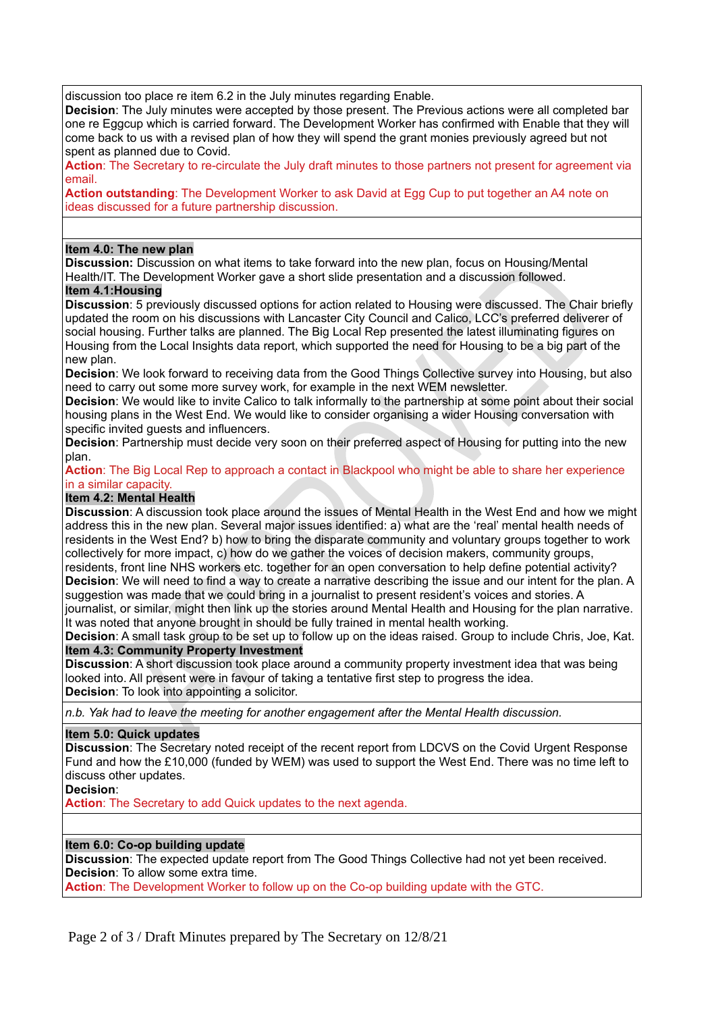discussion too place re item 6.2 in the July minutes regarding Enable.

**Decision**: The July minutes were accepted by those present. The Previous actions were all completed bar one re Eggcup which is carried forward. The Development Worker has confirmed with Enable that they will come back to us with a revised plan of how they will spend the grant monies previously agreed but not spent as planned due to Covid.

**Action**: The Secretary to re-circulate the July draft minutes to those partners not present for agreement via email.

**Action outstanding**: The Development Worker to ask David at Egg Cup to put together an A4 note on ideas discussed for a future partnership discussion.

## **Item 4.0: The new plan**

**Discussion:** Discussion on what items to take forward into the new plan, focus on Housing/Mental Health/IT. The Development Worker gave a short slide presentation and a discussion followed.

#### **Item 4.1:Housing**

**Discussion**: 5 previously discussed options for action related to Housing were discussed. The Chair briefly updated the room on his discussions with Lancaster City Council and Calico, LCC's preferred deliverer of social housing. Further talks are planned. The Big Local Rep presented the latest illuminating figures on Housing from the Local Insights data report, which supported the need for Housing to be a big part of the new plan.

**Decision**: We look forward to receiving data from the Good Things Collective survey into Housing, but also need to carry out some more survey work, for example in the next WEM newsletter.

**Decision**: We would like to invite Calico to talk informally to the partnership at some point about their social housing plans in the West End. We would like to consider organising a wider Housing conversation with specific invited guests and influencers.

**Decision**: Partnership must decide very soon on their preferred aspect of Housing for putting into the new plan.

**Action**: The Big Local Rep to approach a contact in Blackpool who might be able to share her experience in a similar capacity.

# **Item 4.2: Mental Health**

**Discussion**: A discussion took place around the issues of Mental Health in the West End and how we might address this in the new plan. Several major issues identified: a) what are the 'real' mental health needs of residents in the West End? b) how to bring the disparate community and voluntary groups together to work collectively for more impact, c) how do we gather the voices of decision makers, community groups, residents, front line NHS workers etc. together for an open conversation to help define potential activity?

**Decision**: We will need to find a way to create a narrative describing the issue and our intent for the plan. A suggestion was made that we could bring in a journalist to present resident's voices and stories. A

journalist, or similar, might then link up the stories around Mental Health and Housing for the plan narrative. It was noted that anyone brought in should be fully trained in mental health working.

**Decision**: A small task group to be set up to follow up on the ideas raised. Group to include Chris, Joe, Kat. **Item 4.3: Community Property Investment**

**Discussion**: A short discussion took place around a community property investment idea that was being looked into. All present were in favour of taking a tentative first step to progress the idea. **Decision**: To look into appointing a solicitor.

*n.b. Yak had to leave the meeting for another engagement after the Mental Health discussion.*

#### **Item 5.0: Quick updates**

**Discussion**: The Secretary noted receipt of the recent report from LDCVS on the Covid Urgent Response Fund and how the £10,000 (funded by WEM) was used to support the West End. There was no time left to discuss other updates.

#### **Decision**:

**Action**: The Secretary to add Quick updates to the next agenda.

## **Item 6.0: Co-op building update**

**Discussion**: The expected update report from The Good Things Collective had not yet been received. **Decision**: To allow some extra time.

**Action**: The Development Worker to follow up on the Co-op building update with the GTC.